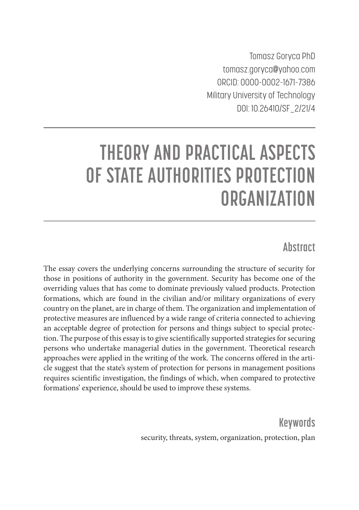Tomasz Goryca PhD tomasz.goryca@yahoo.com ORCID: 0000-0002-1671-7386 Military University of Technology DOI: 10.26410/SF\_2/21/4

# **THEORY AND PRACTICAL ASPECTS OF STATE AUTHORITIES PROTECTION ORGANIZATION**

## **Abstract**

The essay covers the underlying concerns surrounding the structure of security for those in positions of authority in the government. Security has become one of the overriding values that has come to dominate previously valued products. Protection formations, which are found in the civilian and/or military organizations of every country on the planet, are in charge of them. The organization and implementation of protective measures are influenced by a wide range of criteria connected to achieving an acceptable degree of protection for persons and things subject to special protection. The purpose of this essay is to give scientifically supported strategies for securing persons who undertake managerial duties in the government. Theoretical research approaches were applied in the writing of the work. The concerns offered in the article suggest that the state's system of protection for persons in management positions requires scientific investigation, the findings of which, when compared to protective formations' experience, should be used to improve these systems.

> **Keywords** security, threats, system, organization, protection, plan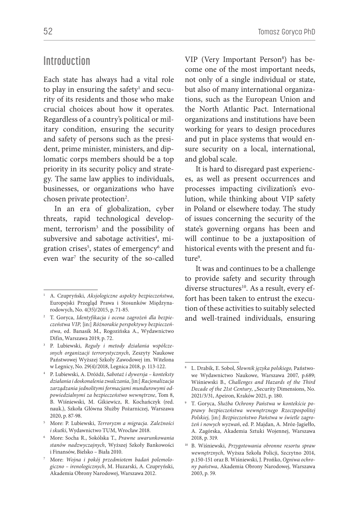#### **Introduction**

Each state has always had a vital role to play in ensuring the safety<sup>1</sup> and security of its residents and those who make crucial choices about how it operates. Regardless of a country's political or military condition, ensuring the security and safety of persons such as the president, prime minister, ministers, and diplomatic corps members should be a top priority in its security policy and strategy. The same law applies to individuals, businesses, or organizations who have chosen private protection<sup>2</sup>.

In an era of globalization, cyber threats, rapid technological development, terrorism<sup>3</sup> and the possibility of subversive and sabotage activities<sup>4</sup>, migration crises<sup>5</sup>, states of emergency<sup>6</sup> and even war<sup>7</sup> the security of the so-called

VIP (Very Important Person<sup>8</sup>) has become one of the most important needs, not only of a single individual or state, but also of many international organizations, such as the European Union and the North Atlantic Pact. International organizations and institutions have been working for years to design procedures and put in place systems that would ensure security on a local, international, and global scale.

It is hard to disregard past experiences, as well as present occurrences and processes impacting civilization's evolution, while thinking about VIP safety in Poland or elsewhere today. The study of issues concerning the security of the state's governing organs has been and will continue to be a juxtaposition of historical events with the present and future<sup>9</sup>.

It was and continues to be a challenge to provide safety and security through diverse structures<sup>10</sup>. As a result, every effort has been taken to entrust the execution of these activities to suitably selected and well-trained individuals, ensuring

<sup>1</sup> A. Czupryński, *Aksjologiczne aspekty bezpieczeństwa*, Europejski Przegląd Prawa i Stosunków Międzynarodowych, No. 4(35)/2015, p. 71-85.

<sup>2</sup> T. Goryca, *Identyfikacja i ocena zagrożeń dla bezpieczeństwa VIP,* [in:] *Różnorakie perspektywy bezpieczeństwa*, ed. Banasik M., Rogozińska A., Wydawnictwo Difin, Warszawa 2019, p. 72.

<sup>3</sup> P. Lubiewski, *Reguły i metody działania współczesnych organizacji terrorystycznych*, Zeszyty Naukowe Państwowej Wyższej Szkoły Zawodowej im. Witelona w Legnicy, No. 29(4)/2018, Legnica 2018, p. 113-122.

<sup>4</sup> P. Lubiewski, A. Dróżdż, *Sabotaż i dywersja – konteksty działania i doskonalenia zwalczania*, [in:] *Racjonalizacja zarządzania jednolitymi formacjami mundurowymi odpowiedzialnymi za bezpieczeństwo wewnętrzne*, Tom 8, B. Wiśniewski, M. Gikiewicz, R. Kochańczyk (red. nauk.), Szkoła Główna Służby Pożarniczej, Warszawa 2020, p. 87-98.

<sup>5</sup> More: P. Lubiewski, *Terroryzm a migracja. Zależności i skutki*, Wydawnictwo TUM, Wrocław 2018.

<sup>6</sup> More: Socha R., Sokólska T., *Prawne uwarunkowania stanów nadzwyczajnych*, Wyższej Szkoły Bankowości i Finansów, Bielsko – Biała 2010.

<sup>7</sup> More: *Wojna i pokój przedmiotem badań polemologiczno – irenologicznych*, M. Huzarski, A. Czupryński, Akademia Obrony Narodowej, Warszawa 2012.

<sup>8</sup> L. Drabik, E. Sobol, *Słownik języka polskiego,* Państwowe Wydawnictwo Naukowe, Warszawa 2007, p.689; Wiśniewski B.*, Challenges and Hazards of the Third*  Decade of the 21st Century, "Security Dimensions, No. 2021/3/31, Apeiron, Kraków 2021, p. 180.

<sup>9</sup> T. Goryca, *Służba Ochrony Państwa w kontekście poprawy bezpieczeństwa wewnętrznego Rzeczpospolitej Polskiej,* [in:] *Bezpieczeństwo Państwa w świetle zagrożeń i nowych wyzwań*, ed. P. Majdan, A. Mróz-Jagiełło, A. Zagórska, Akademia Sztuki Wojennej, Warszawa 2018, p. 319.

<sup>10</sup> B. Wiśniewski, *Przygotowania obronne resortu spraw wewnętrznych*, Wyższa Szkoła Policji, Szczytno 2014, p.150-151 oraz B. Wiśniewski, J. Prońko, *Ogniwa ochrony państwa*, Akademia Obrony Narodowej, Warszawa 2003, p. 59.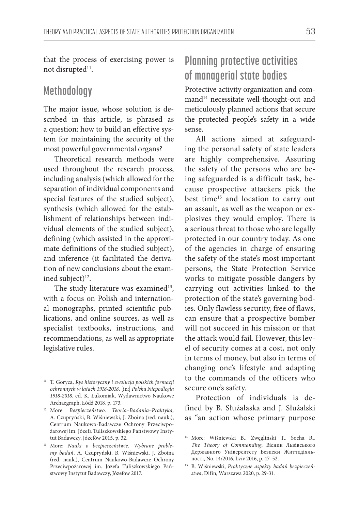that the process of exercising power is not disrupted<sup>11</sup>.

#### **Methodology**

The major issue, whose solution is described in this article, is phrased as a question: how to build an effective system for maintaining the security of the most powerful governmental organs?

Theoretical research methods were used throughout the research process, including analysis (which allowed for the separation of individual components and special features of the studied subject), synthesis (which allowed for the establishment of relationships between individual elements of the studied subject), defining (which assisted in the approximate definitions of the studied subject), and inference (it facilitated the derivation of new conclusions about the examined subject)<sup>12</sup>.

The study literature was examined<sup>13</sup>, with a focus on Polish and international monographs, printed scientific publications, and online sources, as well as specialist textbooks, instructions, and recommendations, as well as appropriate legislative rules.

## **Planning protective activities of managerial state bodies**

Protective activity organization and command<sup>14</sup> necessitate well-thought-out and meticulously planned actions that secure the protected people's safety in a wide sense.

All actions aimed at safeguarding the personal safety of state leaders are highly comprehensive. Assuring the safety of the persons who are being safeguarded is a difficult task, because prospective attackers pick the best time<sup>15</sup> and location to carry out an assault, as well as the weapon or explosives they would employ. There is a serious threat to those who are legally protected in our country today. As one of the agencies in charge of ensuring the safety of the state's most important persons, the State Protection Service works to mitigate possible dangers by carrying out activities linked to the protection of the state's governing bodies. Only flawless security, free of flaws, can ensure that a prospective bomber will not succeed in his mission or that the attack would fail. However, this level of security comes at a cost, not only in terms of money, but also in terms of changing one's lifestyle and adapting to the commands of the officers who secure one's safety.

Protection of individuals is defined by B. Służalaska and J. Służalski as "an action whose primary purpose

<sup>11</sup> T. Goryca, *Rys historyczny i ewolucja polskich formacji ochronnych w latach 1918-2018,* [in:] *Polska Niepodległa 1918-2018*, ed. K. Łukomiak, Wydawnictwo Naukowe Archaegraph, Łódź 2018, p. 173.

<sup>12</sup> More: *Bezpieczeństwo. Teoria–Badania–Praktyka,*  A. Czupryński, B. Wiśniewski, J. Zboina (red. nauk.), Centrum Naukowo-Badawcze Ochrony Przeciwpożarowej im. Józefa Tuliszkowskiego Państwowy Instytut Badawczy, Józefów 2015, p. 32.

<sup>13</sup> More: *Nauki o bezpieczeństwie. Wybrane problemy badań*, A. Czupryński, B. Wiśniewski, J. Zboina (red. nauk.), Centrum Naukowo-Badawcze Ochrony Przeciwpożarowej im. Józefa Tuliszkowskiego Państwowy Instytut Badawczy, Józefów 2017.

<sup>14</sup> More: Wiśniewski B., Zwęgliński T., Socha R., *The Theory of Commanding*, Вісник Львівського Державного Університету Безпеки Життєдіяльності, No. 14/2016, Lviv 2016, p. 47–52.

<sup>15</sup> B. Wiśniewski, *Praktyczne aspekty badań bezpieczeństwa*, Difin, Warszawa 2020, p. 29-31.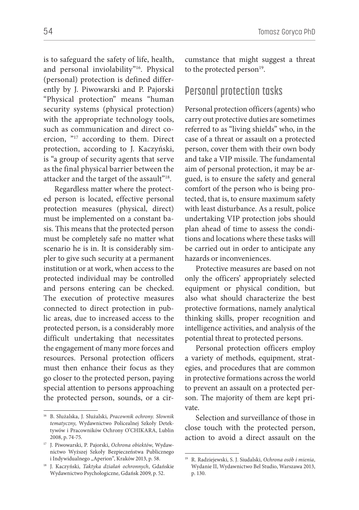is to safeguard the safety of life, health, and personal inviolability"16. Physical (personal) protection is defined differently by J. Piwowarski and P. Pajorski "Physical protection" means "human security systems (physical protection) with the appropriate technology tools, such as communication and direct coercion, "17 according to them. Direct protection, according to J. Kaczyński, is "a group of security agents that serve as the final physical barrier between the attacker and the target of the assault"<sup>18</sup>.

Regardless matter where the protected person is located, effective personal protection measures (physical, direct) must be implemented on a constant basis. This means that the protected person must be completely safe no matter what scenario he is in. It is considerably simpler to give such security at a permanent institution or at work, when access to the protected individual may be controlled and persons entering can be checked. The execution of protective measures connected to direct protection in public areas, due to increased access to the protected person, is a considerably more difficult undertaking that necessitates the engagement of many more forces and resources. Personal protection officers must then enhance their focus as they go closer to the protected person, paying special attention to persons approaching the protected person, sounds, or a cir-

16 B. Służalska, J. Służalski, *Pracownik ochrony. Słownik tematyczny*, Wydawnictwo Policealnej Szkoły Detektywów i Pracowników Ochrony O'CHIKARA, Lublin 2008, p. 74-75.

cumstance that might suggest a threat to the protected person<sup>19</sup>.

#### **Personal protection tasks**

Personal protection officers (agents) who carry out protective duties are sometimes referred to as "living shields" who, in the case of a threat or assault on a protected person, cover them with their own body and take a VIP missile. The fundamental aim of personal protection, it may be argued, is to ensure the safety and general comfort of the person who is being protected, that is, to ensure maximum safety with least disturbance. As a result, police undertaking VIP protection jobs should plan ahead of time to assess the conditions and locations where these tasks will be carried out in order to anticipate any hazards or inconveniences.

Protective measures are based on not only the officers' appropriately selected equipment or physical condition, but also what should characterize the best protective formations, namely analytical thinking skills, proper recognition and intelligence activities, and analysis of the potential threat to protected persons.

Personal protection officers employ a variety of methods, equipment, strategies, and procedures that are common in protective formations across the world to prevent an assault on a protected person. The majority of them are kept private.

Selection and surveillance of those in close touch with the protected person, action to avoid a direct assault on the

<sup>17</sup> J. Piwowarski, P. Pajorski, *Ochrona obiektów*, Wydawnictwo Wyższej Szkoły Bezpieczeństwa Publicznego i Indywidualnego "Aperion", Kraków 2013, p. 58.

<sup>18</sup> J. Kaczyński, *Taktyka działań ochronnych*, Gdańskie Wydawnictwo Psychologiczne, Gdańsk 2009, p. 52.

<sup>19</sup> R. Radziejewski, S. J. Siudalski, *Ochrona osób i mienia*, Wydanie II, Wydawnictwo Bel Studio, Warszawa 2013, p. 130.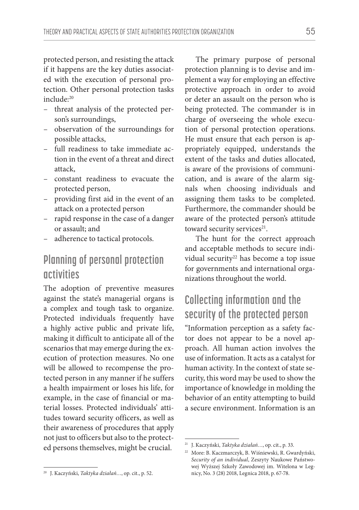protected person, and resisting the attack if it happens are the key duties associated with the execution of personal protection. Other personal protection tasks include:20

- threat analysis of the protected person's surroundings,
- observation of the surroundings for possible attacks,
- full readiness to take immediate action in the event of a threat and direct attack,
- constant readiness to evacuate the protected person,
- providing first aid in the event of an attack on a protected person
- rapid response in the case of a danger or assault; and
- adherence to tactical protocols.

## **Planning of personal protection activities**

The adoption of preventive measures against the state's managerial organs is a complex and tough task to organize. Protected individuals frequently have a highly active public and private life, making it difficult to anticipate all of the scenarios that may emerge during the execution of protection measures. No one will be allowed to recompense the protected person in any manner if he suffers a health impairment or loses his life, for example, in the case of financial or material losses. Protected individuals' attitudes toward security officers, as well as their awareness of procedures that apply not just to officers but also to the protected persons themselves, might be crucial.

The primary purpose of personal protection planning is to devise and implement a way for employing an effective protective approach in order to avoid or deter an assault on the person who is being protected. The commander is in charge of overseeing the whole execution of personal protection operations. He must ensure that each person is appropriately equipped, understands the extent of the tasks and duties allocated, is aware of the provisions of communication, and is aware of the alarm signals when choosing individuals and assigning them tasks to be completed. Furthermore, the commander should be aware of the protected person's attitude toward security services<sup>21</sup>.

The hunt for the correct approach and acceptable methods to secure individual security<sup>22</sup> has become a top issue for governments and international organizations throughout the world.

# **Collecting information and the security of the protected person**

"Information perception as a safety factor does not appear to be a novel approach. All human action involves the use of information. It acts as a catalyst for human activity. In the context of state security, this word may be used to show the importance of knowledge in molding the behavior of an entity attempting to build a secure environment. Information is an

<sup>21</sup> J. Kaczyński, *Taktyka działań…*, op. cit., p. 33.

<sup>22</sup> More: B. Kaczmarczyk, B. Wiśniewski, R. Gwardyński, *Security of an individual*, Zeszyty Naukowe Państwowej Wyższej Szkoły Zawodowej im. Witelona w Legnicy, No. 3 (28) 2018, Legnica 2018, p. 67-78.

<sup>20</sup> J. Kaczyński, *Taktyka działań…*, op. cit., p. 52.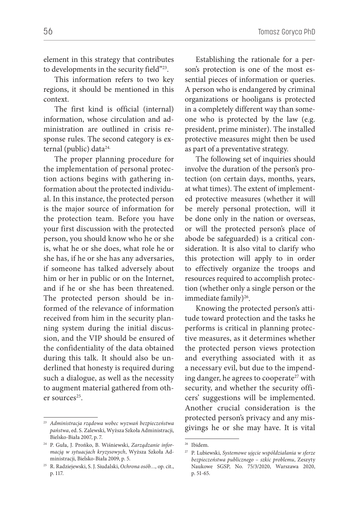element in this strategy that contributes to developments in the security field"23.

This information refers to two key regions, it should be mentioned in this context.

The first kind is official (internal) information, whose circulation and administration are outlined in crisis response rules. The second category is external (public) data<sup>24.</sup>

The proper planning procedure for the implementation of personal protection actions begins with gathering information about the protected individual. In this instance, the protected person is the major source of information for the protection team. Before you have your first discussion with the protected person, you should know who he or she is, what he or she does, what role he or she has, if he or she has any adversaries, if someone has talked adversely about him or her in public or on the Internet, and if he or she has been threatened. The protected person should be informed of the relevance of information received from him in the security planning system during the initial discussion, and the VIP should be ensured of the confidentiality of the data obtained during this talk. It should also be underlined that honesty is required during such a dialogue, as well as the necessity to augment material gathered from other sources<sup>25</sup>.

Establishing the rationale for a person's protection is one of the most essential pieces of information or queries. A person who is endangered by criminal organizations or hooligans is protected in a completely different way than someone who is protected by the law (e.g. president, prime minister). The installed protective measures might then be used as part of a preventative strategy.

The following set of inquiries should involve the duration of the person's protection (on certain days, months, years, at what times). The extent of implemented protective measures (whether it will be merely personal protection, will it be done only in the nation or overseas, or will the protected person's place of abode be safeguarded) is a critical consideration. It is also vital to clarify who this protection will apply to in order to effectively organize the troops and resources required to accomplish protection (whether only a single person or the immediate family) $26$ .

Knowing the protected person's attitude toward protection and the tasks he performs is critical in planning protective measures, as it determines whether the protected person views protection and everything associated with it as a necessary evil, but due to the impending danger, he agrees to cooperate<sup>27</sup> with security, and whether the security officers' suggestions will be implemented. Another crucial consideration is the protected person's privacy and any misgivings he or she may have. It is vital

<sup>23</sup> *Administracja rządowa wobec wyzwań bezpieczeństwa państwa*, ed. S. Zalewski, Wyższa Szkoła Administracji, Bielsko-Biała 2007, p. 7.

<sup>24</sup> P. Guła, J. Prońko, B. Wiśniewski, *Zarządzanie informacją w sytuacjach kryzysowych*, Wyższa Szkoła Administracji, Bielsko-Biała 2009, p. 5.

<sup>25</sup> R. Radziejewski, S. J. Siudalski, *Ochrona osób…,* op. cit., p. 117.

<sup>26</sup> Ibidem.

<sup>27</sup> P. Lubiewski, *Systemowe ujęcie współdziałania w sferze bezpieczeństwa publicznego – szkic problemu*, Zeszyty Naukowe SGSP, No. 75/3/2020, Warszawa 2020, p. 51-65.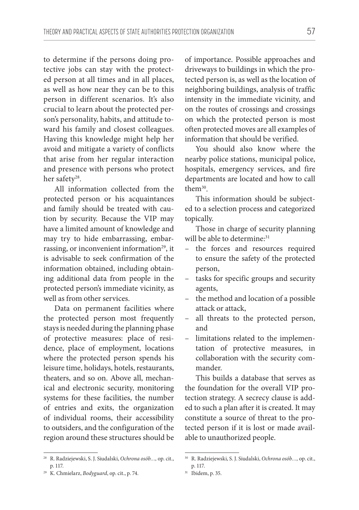to determine if the persons doing protective jobs can stay with the protected person at all times and in all places, as well as how near they can be to this person in different scenarios. It's also crucial to learn about the protected person's personality, habits, and attitude toward his family and closest colleagues. Having this knowledge might help her avoid and mitigate a variety of conflicts that arise from her regular interaction and presence with persons who protect her safety<sup>28</sup>.

All information collected from the protected person or his acquaintances and family should be treated with caution by security. Because the VIP may have a limited amount of knowledge and may try to hide embarrassing, embarrassing, or inconvenient information<sup>29</sup>, it is advisable to seek confirmation of the information obtained, including obtaining additional data from people in the protected person's immediate vicinity, as well as from other services.

Data on permanent facilities where the protected person most frequently stays is needed during the planning phase of protective measures: place of residence, place of employment, locations where the protected person spends his leisure time, holidays, hotels, restaurants, theaters, and so on. Above all, mechanical and electronic security, monitoring systems for these facilities, the number of entries and exits, the organization of individual rooms, their accessibility to outsiders, and the configuration of the region around these structures should be

28 R. Radziejewski, S. J. Siudalski, *Ochrona osób…,* op. cit., p. 117.

of importance. Possible approaches and driveways to buildings in which the protected person is, as well as the location of neighboring buildings, analysis of traffic intensity in the immediate vicinity, and on the routes of crossings and crossings on which the protected person is most often protected moves are all examples of information that should be verified.

You should also know where the nearby police stations, municipal police, hospitals, emergency services, and fire departments are located and how to call them30.

This information should be subjected to a selection process and categorized topically.

Those in charge of security planning will be able to determine:<sup>31</sup>

- the forces and resources required to ensure the safety of the protected person,
- tasks for specific groups and security agents,
- the method and location of a possible attack or attack,
- all threats to the protected person, and
- limitations related to the implementation of protective measures, in collaboration with the security commander.

This builds a database that serves as the foundation for the overall VIP protection strategy. A secrecy clause is added to such a plan after it is created. It may constitute a source of threat to the protected person if it is lost or made available to unauthorized people.

<sup>29</sup> K. Chmielarz, *Bodyguard*, op. cit., p. 74.

<sup>30</sup> R. Radziejewski, S. J. Siudalski, *Ochrona osób…,* op. cit., p. 117.

<sup>31</sup> Ibidem, p. 35.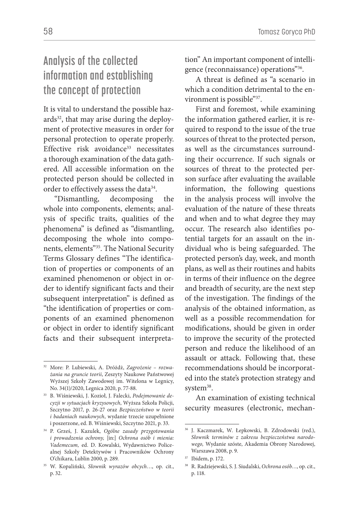# **Analysis of the collected information and establishing the concept of protection**

It is vital to understand the possible hazards<sup>32</sup>, that may arise during the deployment of protective measures in order for personal protection to operate properly. Effective risk avoidance<sup>33</sup> necessitates a thorough examination of the data gathered. All accessible information on the protected person should be collected in order to effectively assess the data<sup>34</sup>.

"Dismantling, decomposing the whole into components, elements; analysis of specific traits, qualities of the phenomena" is defined as "dismantling, decomposing the whole into components, elements"35. The National Security Terms Glossary defines "The identification of properties or components of an examined phenomenon or object in order to identify significant facts and their subsequent interpretation" is defined as "the identification of properties or components of an examined phenomenon or object in order to identify significant facts and their subsequent interpretation" An important component of intelligence (reconnaissance) operations"36.

A threat is defined as "a scenario in which a condition detrimental to the environment is possible"37.

First and foremost, while examining the information gathered earlier, it is required to respond to the issue of the true sources of threat to the protected person, as well as the circumstances surrounding their occurrence. If such signals or sources of threat to the protected person surface after evaluating the available information, the following questions in the analysis process will involve the evaluation of the nature of these threats and when and to what degree they may occur. The research also identifies potential targets for an assault on the individual who is being safeguarded. The protected person's day, week, and month plans, as well as their routines and habits in terms of their influence on the degree and breadth of security, are the next step of the investigation. The findings of the analysis of the obtained information, as well as a possible recommendation for modifications, should be given in order to improve the security of the protected person and reduce the likelihood of an assault or attack. Following that, these recommendations should be incorporated into the state's protection strategy and system<sup>38</sup>.

An examination of existing technical security measures (electronic, mechan-

<sup>32</sup> More: P. Lubiewski, A. Dróżdż, *Zagrożenie – rozważania na gruncie teorii*, Zeszyty Naukowe Państwowej Wyższej Szkoły Zawodowej im. Witelona w Legnicy, No. 34(1)/2020, Legnica 2020, p. 77-88.

<sup>33</sup> B. Wiśniewski, J. Kozioł, J. Falecki, *Podejmowanie decyzji w sytuacjach kryzysowych*, Wyższa Szkoła Policji, Szczytno 2017, p. 26-27 oraz *Bezpieczeństwo w teorii i badaniach naukowych*, wydanie trzecie uzupełnione i poszerzone, ed. B. Wiśniewski, Szczytno 2021, p. 33.

<sup>34</sup> P. Grześ, J. Kazulek, *Ogólne zasady przygotowania i prowadzenia ochrony,* [in:] *Ochrona osób i mienia: Vademecum,* ed. D. Kowalski, Wydawnictwo Policealnej Szkoły Detektywów i Pracowników Ochrony O'chikara, Lublin 2000, p. 289.

<sup>35</sup> W. Kopaliński, *Słownik wyrazów obcych*…, op. cit., p. 32.

<sup>36</sup> J. Kaczmarek, W. Łepkowski, B. Zdrodowski (red.), *Słownik terminów z zakresu bezpieczeństwa narodowego,* Wydanie szóste, Akademia Obrony Narodowej, Warszawa 2008, p. 9.

<sup>37</sup> Ibidem, p. 172.

<sup>38</sup> R. Radziejewski, S. J. Siudalski, *Ochrona osób…*, op. cit., p. 118.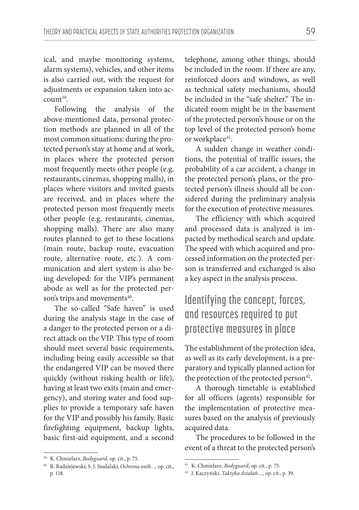ical, and maybe monitoring systems, alarm systems), vehicles, and other items is also carried out, with the request for adjustments or expansion taken into account39.

Following the analysis of the above-mentioned data, personal protection methods are planned in all of the most common situations: during the protected person's stay at home and at work, in places where the protected person most frequently meets other people (e.g. restaurants, cinemas, shopping malls), in places where visitors and invited guests are received, and in places where the protected person most frequently meets other people (e.g. restaurants, cinemas, shopping malls). There are also many routes planned to get to these locations (main route, backup route, evacuation route, alternative route, etc.). A communication and alert system is also being developed: for the VIP's permanent abode as well as for the protected person's trips and movements<sup>40</sup>.

The so-called "Safe haven" is used during the analysis stage in the case of a danger to the protected person or a direct attack on the VIP. This type of room should meet several basic requirements, including being easily accessible so that the endangered VIP can be moved there quickly (without risking health or life), having at least two exits (main and emergency), and storing water and food supplies to provide a temporary safe haven for the VIP and possibly his family. Basic firefighting equipment, backup lights, basic first-aid equipment, and a second

telephone, among other things, should be included in the room. If there are any, reinforced doors and windows, as well as technical safety mechanisms, should be included in the "safe shelter." The indicated room might be in the basement of the protected person's house or on the top level of the protected person's home or workplace<sup>41</sup>.

A sudden change in weather conditions, the potential of traffic issues, the probability of a car accident, a change in the protected person's plans, or the protected person's illness should all be considered during the preliminary analysis for the execution of protective measures.

The efficiency with which acquired and processed data is analyzed is impacted by methodical search and update. The speed with which acquired and processed information on the protected person is transferred and exchanged is also a key aspect in the analysis process.

# **Identifying the concept, forces, and resources required to put protective measures in place**

The establishment of the protection idea, as well as its early development, is a preparatory and typically planned action for the protection of the protected person<sup>42</sup>.

A thorough timetable is established for all officers (agents) responsible for the implementation of protective measures based on the analysis of previously acquired data.

The procedures to be followed in the event of a threat to the protected person's

<sup>39</sup> K. Chmielarz, *Bodyguard*, op. cit., p. 75.

<sup>40</sup> R. Radziejewski, S. J. Siudalski, *Ochrona osób…,* op. cit., p. 118.

<sup>41</sup> K. Chmielarz, *Bodyguard,* op. cit., p. 75.

<sup>42</sup> J. Kaczyński, *Taktyka działań…*, op. cit., p. 39.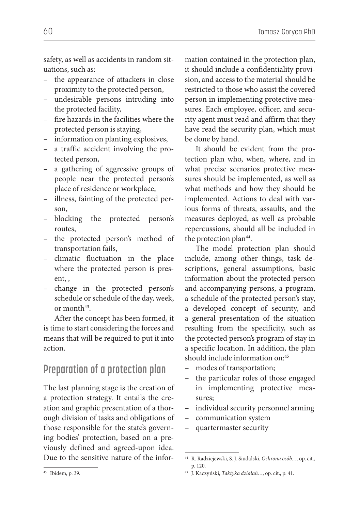safety, as well as accidents in random situations, such as:

- the appearance of attackers in close proximity to the protected person,
- undesirable persons intruding into the protected facility,
- fire hazards in the facilities where the protected person is staying,
- information on planting explosives,
- a traffic accident involving the protected person,
- a gathering of aggressive groups of people near the protected person's place of residence or workplace,
- illness, fainting of the protected person,
- blocking the protected person's routes,
- the protected person's method of transportation fails,
- climatic fluctuation in the place where the protected person is present, ,
- change in the protected person's schedule or schedule of the day, week, or month<sup>43</sup>.

After the concept has been formed, it is time to start considering the forces and means that will be required to put it into action.

## **Preparation of a protection plan**

The last planning stage is the creation of a protection strategy. It entails the creation and graphic presentation of a thorough division of tasks and obligations of those responsible for the state's governing bodies' protection, based on a previously defined and agreed-upon idea. Due to the sensitive nature of the information contained in the protection plan, it should include a confidentiality provision, and access to the material should be restricted to those who assist the covered person in implementing protective measures. Each employee, officer, and security agent must read and affirm that they have read the security plan, which must be done by hand.

It should be evident from the protection plan who, when, where, and in what precise scenarios protective measures should be implemented, as well as what methods and how they should be implemented. Actions to deal with various forms of threats, assaults, and the measures deployed, as well as probable repercussions, should all be included in the protection plan $44$ .

The model protection plan should include, among other things, task descriptions, general assumptions, basic information about the protected person and accompanying persons, a program, a schedule of the protected person's stay, a developed concept of security, and a general presentation of the situation resulting from the specificity, such as the protected person's program of stay in a specific location. In addition, the plan should include information on:45

- modes of transportation;
- the particular roles of those engaged in implementing protective measures;
- individual security personnel arming
- communication system
- quartermaster security

<sup>44</sup> R. Radziejewski, S. J. Siudalski, *Ochrona osób…,* op. cit., p. 120.

<sup>45</sup> J. Kaczyński, *Taktyka działań…*, op. cit., p. 41.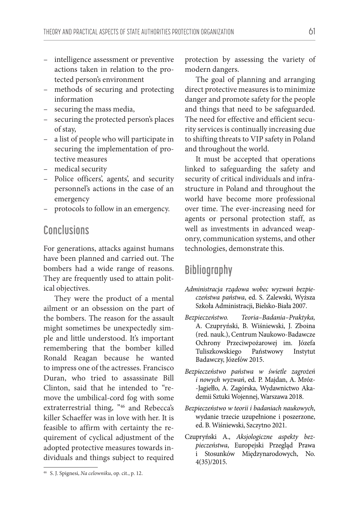- intelligence assessment or preventive actions taken in relation to the protected person's environment
- methods of securing and protecting information
- securing the mass media,
- securing the protected person's places of stay,
- a list of people who will participate in securing the implementation of protective measures
- medical security
- Police officers', agents', and security personnel's actions in the case of an emergency
- protocols to follow in an emergency.

#### **Conclusions**

For generations, attacks against humans have been planned and carried out. The bombers had a wide range of reasons. They are frequently used to attain political objectives.

They were the product of a mental ailment or an obsession on the part of the bombers. The reason for the assault might sometimes be unexpectedly simple and little understood. It's important remembering that the bomber killed Ronald Reagan because he wanted to impress one of the actresses. Francisco Duran, who tried to assassinate Bill Clinton, said that he intended to "remove the umbilical-cord fog with some extraterrestrial thing, "46 and Rebecca's killer Schaeffer was in love with her. It is feasible to affirm with certainty the requirement of cyclical adjustment of the adopted protective measures towards individuals and things subject to required

protection by assessing the variety of modern dangers.

The goal of planning and arranging direct protective measures is to minimize danger and promote safety for the people and things that need to be safeguarded. The need for effective and efficient security services is continually increasing due to shifting threats to VIP safety in Poland and throughout the world.

It must be accepted that operations linked to safeguarding the safety and security of critical individuals and infrastructure in Poland and throughout the world have become more professional over time. The ever-increasing need for agents or personal protection staff, as well as investments in advanced weaponry, communication systems, and other technologies, demonstrate this.

## **Bibliography**

- *Administracja rządowa wobec wyzwań bezpieczeństwa państwa*, ed. S. Zalewski, Wyższa Szkoła Administracji, Bielsko-Biała 2007.
- *Bezpieczeństwo. Teoria–Badania–Praktyka,*  A. Czupryński, B. Wiśniewski, J. Zboina (red. nauk.), Centrum Naukowo-Badawcze Ochrony Przeciwpożarowej im. Józefa Tuliszkowskiego Państwowy Instytut Badawczy, Józefów 2015.
- *Bezpieczeństwo państwa w świetle zagrożeń i nowych wyzwań*, ed. P. Majdan, A. Mróz- -Jagiełło, A. Zagórska, Wydawnictwo Akademii Sztuki Wojennej, Warszawa 2018.
- *Bezpieczeństwo w teorii i badaniach naukowych*, wydanie trzecie uzupełnione i poszerzone, ed. B. Wiśniewski, Szczytno 2021.
- Czupryński A., *Aksjologiczne aspekty bezpieczeństwa*, Europejski Przegląd Prawa i Stosunków Międzynarodowych, No. 4(35)/2015.

<sup>46</sup> S. J. Spignesi, *Na celowniku*, op. cit., p. 12.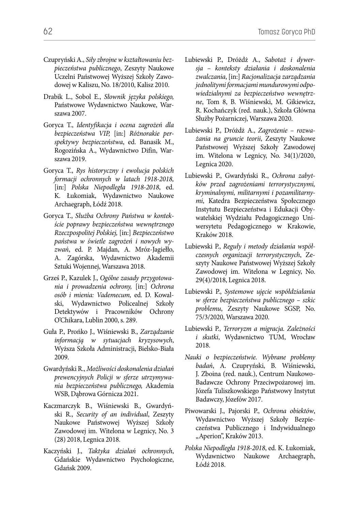- Czupryński A., *Siły zbrojne w kształtowaniu bezpieczeństwa publicznego*, Zeszyty Naukowe Uczelni Państwowej Wyższej Szkoły Zawodowej w Kaliszu, No. 18/2010, Kalisz 2010.
- Drabik L., Sobol E., *Słownik języka polskiego,*  Państwowe Wydawnictwo Naukowe, Warszawa 2007.
- Goryca T., *Identyfikacja i ocena zagrożeń dla bezpieczeństwa VIP,* [in:] *Różnorakie perspektywy bezpieczeństwa*, ed. Banasik M., Rogozińska A., Wydawnictwo Difin, Warszawa 2019.
- Goryca T., *Rys historyczny i ewolucja polskich formacji ochronnych w latach 1918-2018,*  [in:] *Polska Niepodległa 1918-2018*, ed. K. Łukomiak, Wydawnictwo Naukowe Archaegraph, Łódź 2018.
- Goryca T., *Służba Ochrony Państwa w kontekście poprawy bezpieczeństwa wewnętrznego Rzeczpospolitej Polskiej,* [in:] *Bezpieczeństwo państwa w świetle zagrożeń i nowych wyzwań*, ed. P. Majdan, A. Mróz-Jagiełło, A. Zagórska, Wydawnictwo Akademii Sztuki Wojennej, Warszawa 2018.
- Grześ P., Kazulek J., *Ogólne zasady przygotowania i prowadzenia ochrony,* [in:] *Ochrona osób i mienia: Vademecum,* ed. D. Kowalski, Wydawnictwo Policealnej Szkoły Detektywów i Pracowników Ochrony O'Chikara, Lublin 2000, s. 289.
- Guła P., Prońko J., Wiśniewski B., *Zarządzanie informacją w sytuacjach kryzysowych*, Wyższa Szkoła Administracji, Bielsko-Biała 2009.
- Gwardyński R., *Możliwości doskonalenia działań prewencyjnych Policji w sferze utrzymywania bezpieczeństwa publicznego,* Akademia WSB, Dąbrowa Górnicza 2021.
- Kaczmarczyk B., Wiśniewski B., Gwardyński R., *Security of an individual*, Zeszyty Naukowe Państwowej Wyższej Szkoły Zawodowej im. Witelona w Legnicy, No. 3 (28) 2018, Legnica 2018.
- Kaczyński J., *Taktyka działań ochronnych*, Gdańskie Wydawnictwo Psychologiczne, Gdańsk 2009.
- Lubiewski P., Dróżdż A., *Sabotaż i dywersja – konteksty działania i doskonalenia zwalczania*, [in:] *Racjonalizacja zarządzania jednolitymi formacjami mundurowymi odpowiedzialnymi za bezpieczeństwo wewnętrzne*, Tom 8, B. Wiśniewski, M. Gikiewicz, R. Kochańczyk (red. nauk.), Szkoła Główna Służby Pożarniczej, Warszawa 2020.
- Lubiewski P., Dróżdż A., *Zagrożenie rozważania na gruncie teorii*, Zeszyty Naukowe Państwowej Wyższej Szkoły Zawodowej im. Witelona w Legnicy, No. 34(1)/2020, Legnica 2020.
- Lubiewski P., Gwardyński R., *Ochrona zabytków przed zagrożeniami terrorystycznymi, kryminalnymi, militarnymi i pozamilitarnymi*, Katedra Bezpieczeństwa Społecznego Instytutu Bezpieczeństwa i Edukacji Obywatelskiej Wydziału Pedagogicznego Uniwersytetu Pedagogicznego w Krakowie, Kraków 2018.
- Lubiewski P., *Reguły i metody działania współczesnych organizacji terrorystycznych*, Zeszyty Naukowe Państwowej Wyższej Szkoły Zawodowej im. Witelona w Legnicy, No. 29(4)/2018, Legnica 2018.
- Lubiewski P., *Systemowe ujęcie współdziałania w sferze bezpieczeństwa publicznego – szkic problemu*, Zeszyty Naukowe SGSP, No. 75/3/2020, Warszawa 2020.
- Lubiewski P., *Terroryzm a migracja. Zależności i skutki*, Wydawnictwo TUM, Wrocław 2018.
- *Nauki o bezpieczeństwie. Wybrane problemy badań*, A. Czupryński, B. Wiśniewski, J. Zboina (red. nauk.), Centrum Naukowo-Badawcze Ochrony Przeciwpożarowej im. Józefa Tuliszkowskiego Państwowy Instytut Badawczy, Józefów 2017.
- Piwowarski J., Pajorski P., *Ochrona obiektów*, Wydawnictwo Wyższej Szkoły Bezpieczeństwa Publicznego i Indywidualnego "Aperion", Kraków 2013.
- *Polska Niepodległa 1918-2018*, ed. K. Łukomiak, Wydawnictwo Naukowe Archaegraph, Łódź 2018.